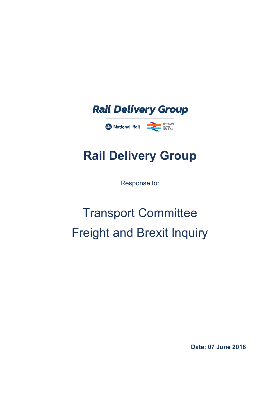

# **Rail Delivery Group**

Response to:

# Transport Committee Freight and Brexit Inquiry

**Date: 07 June 2018**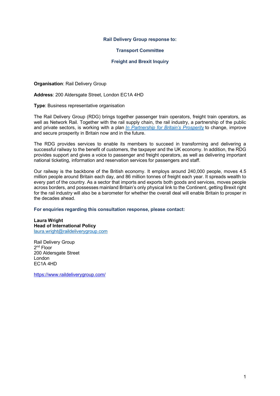#### **Rail Delivery Group response to:**

#### **Transport Committee**

#### **Freight and Brexit Inquiry**

**Organisation**: Rail Delivery Group

**Address**: 200 Aldersgate Street, London EC1A 4HD

**Type**: Business representative organisation

The Rail Delivery Group (RDG) brings together passenger train operators, freight train operators, as well as Network Rail. Together with the rail supply chain, the rail industry, a partnership of the public and private sectors, is working with a plan *In Partnership for Britain's Prosperity* to change, improve and secure prosperity in Britain now and in the future.

The RDG provides services to enable its members to succeed in transforming and delivering a successful railway to the benefit of customers, the taxpayer and the UK economy. In addition, the RDG provides support and gives a voice to passenger and freight operators, as well as delivering important national ticketing, information and reservation services for passengers and staff.

Our railway is the backbone of the British economy. It employs around 240,000 people, moves 4.5 million people around Britain each day, and 86 million tonnes of freight each year. It spreads wealth to every part of the country. As a sector that imports and exports both goods and services, moves people across borders, and possesses mainland Britain's only physical link to the Continent, getting Brexit right for the rail industry will also be a barometer for whether the overall deal will enable Britain to prosper in the decades ahead.

#### **For enquiries regarding this consultation response, please contact:**

**Laura Wright Head of International Policy** laura.wright@raildeliverygroup.com

Rail Delivery Group 2nd Floor 200 Aldersgate Street London EC1A 4HD

https://www.raildeliverygroup.com/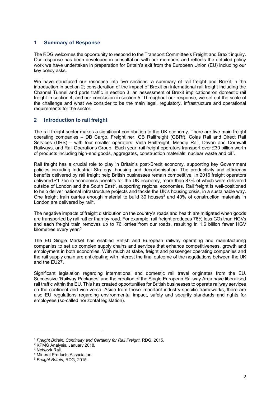# **1 Summary of Response**

The RDG welcomes the opportunity to respond to the Transport Committee's Freight and Brexit inquiry. Our response has been developed in consultation with our members and reflects the detailed policy work we have undertaken in preparation for Britain's exit from the European Union (EU) including our key policy asks.

We have structured our response into five sections: a summary of rail freight and Brexit in the introduction in section 2; consideration of the impact of Brexit on international rail freight including the Channel Tunnel and ports traffic in section 3; an assessment of Brexit implications on domestic rail freight in section 4; and our conclusion in section 5. Throughout our response, we set out the scale of the challenge and what we consider to be the main legal, regulatory, infrastructure and operational requirements for the sector.

# **2 Introduction to rail freight**

The rail freight sector makes a significant contribution to the UK economy. There are five main freight operating companies – DB Cargo, Freightliner, GB Railfreight (GBRf), Colas Rail and Direct Rail Services (DRS) – with four smaller operators: Victa Railfreight, Mendip Rail, Devon and Cornwall Railways, and Rail Operations Group. Each year, rail freight operators transport over £30 billion worth of products including high-end goods, aggregates, construction materials, nuclear waste and oil<sup>1</sup>.

Rail freight has a crucial role to play in Britain's post-Brexit economy, supporting key Government policies including Industrial Strategy, housing and decarbonisation. The productivity and efficiency benefits delivered by rail freight help British businesses remain competitive. In 2016 freight operators delivered £1.7bn in economics benefits for the UK economy, more than 87% of which were delivered outside of London and the South East<sup>2</sup>, supporting regional economies. Rail freight is well-positioned to help deliver national infrastructure projects and tackle the UK's housing crisis, in a sustainable way. One freight train carries enough material to build 30 houses<sup>3</sup> and 40% of construction materials in London are delivered by rail<sup>4</sup>.

The negative impacts of freight distribution on the country's roads and health are mitigated when goods are transported by rail rather than by road. For example, rail freight produces 76% less CO<sub>2</sub> than HGVs and each freight train removes up to 76 lorries from our roads, resulting in 1.6 billion fewer HGV kilometres every year.<sup>5</sup>

The EU Single Market has enabled British and European railway operating and manufacturing companies to set up complex supply chains and services that enhance competitiveness, growth and employment in both economies. With much at stake, freight and passenger operating companies and the rail supply chain are anticipating with interest the final outcome of the negotiations between the UK and the EU27.

Significant legislation regarding international and domestic rail travel originates from the EU. Successive 'Railway Packages' and the creation of the Single European Railway Area have liberalised rail traffic within the EU. This has created opportunities for British businesses to operate railway services on the continent and vice-versa. Aside from these important industry-specific frameworks, there are also EU regulations regarding environmental impact, safety and security standards and rights for employees (so-called horizontal legislation).

l

<sup>1</sup> *Freight Britain: Continuity and Certainty for Rail Freight*, RDG, 2015.

<sup>2</sup> KPMG Analysis, January 2018.

<sup>&</sup>lt;sup>3</sup> Network Rail.

<sup>4</sup> Mineral Products Association.

<sup>5</sup> *Freight Britain*, RDG, 2015.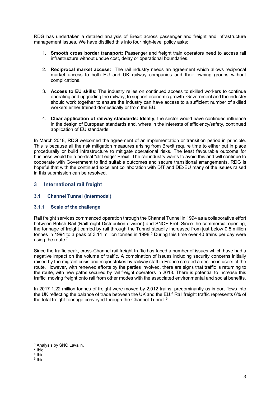RDG has undertaken a detailed analysis of Brexit across passenger and freight and infrastructure management issues. We have distilled this into four high-level policy asks:

- 1. **Smooth cross border transport:** Passenger and freight train operators need to access rail infrastructure without undue cost, delay or operational boundaries.
- 2. **Reciprocal market access:** The rail industry needs an agreement which allows reciprocal market access to both EU and UK railway companies and their owning groups without complications.
- 3. **Access to EU skills:** The industry relies on continued access to skilled workers to continue operating and upgrading the railway, to support economic growth. Government and the industry should work together to ensure the industry can have access to a sufficient number of skilled workers either trained domestically or from the EU.
- 4. **Clear application of railway standards: Ideally,** the sector would have continued influence in the design of European standards and, where in the interests of efficiency/safety, continued application of EU standards.

In March 2018, RDG welcomed the agreement of an implementation or transition period in principle. This is because all the risk mitigation measures arising from Brexit require time to either put in place procedurally or build infrastructure to mitigate operational risks. The least favourable outcome for business would be a no-deal "cliff edge" Brexit. The rail industry wants to avoid this and will continue to cooperate with Government to find suitable outcomes and secure transitional arrangements. RDG is hopeful that with the continued excellent collaboration with DfT and DExEU many of the issues raised in this submission can be resolved.

# **3 International rail freight**

# **3.1 Channel Tunnel (intermodal)**

# **3.1.1 Scale of the challenge**

Rail freight services commenced operation through the Channel Tunnel in 1994 as a collaborative effort between British Rail (Railfreight Distribution division) and SNCF Fret. Since the commercial opening, the tonnage of freight carried by rail through the Tunnel steadily increased from just below 0.5 million tonnes in 1994 to a peak of 3.14 million tonnes in 1998.<sup>6</sup> During this time over 40 trains per day were using the route.<sup>7</sup>

Since the traffic peak, cross-Channel rail freight traffic has faced a number of issues which have had a negative impact on the volume of traffic. A combination of issues including security concerns initially raised by the migrant crisis and major strikes by railway staff in France created a decline in users of the route. However, with renewed efforts by the parties involved, there are signs that traffic is returning to the route, with new paths secured by rail freight operators in 2018. There is potential to increase this traffic, moving freight onto rail from other modes with the associated environmental and social benefits.

In 2017 1.22 million tonnes of freight were moved by 2,012 trains, predominantly as import flows into the UK reflecting the balance of trade between the UK and the EU.<sup>8</sup> Rail freight traffic represents 6% of the total freight tonnage conveyed through the Channel Tunnel.<sup>9</sup>

l

 $6$  Analysis by SNC Lavalin.<br><sup>7</sup> Ibid.

<sup>8</sup> Ibid.

<sup>9</sup> Ibid.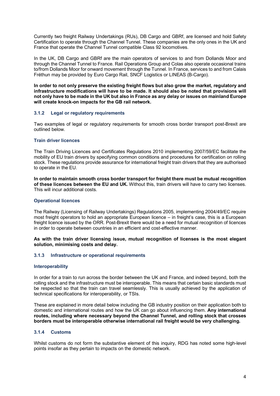Currently two freight Railway Undertakings (RUs), DB Cargo and GBRf, are licensed and hold Safety Certification to operate through the Channel Tunnel. These companies are the only ones in the UK and France that operate the Channel Tunnel compatible Class 92 locomotives.

In the UK, DB Cargo and GBRf are the main operators of services to and from Dollands Moor and through the Channel Tunnel to France. Rail Operations Group and Colas also operate occasional trains to/from Dollands Moor for onward movement through the Tunnel. In France, services to and from Calais Fréthun may be provided by Euro Cargo Rail, SNCF Logistics or LINEAS (B-Cargo).

**In order to not only preserve the existing freight flows but also grow the market, regulatory and infrastructure modifications will have to be made. It should also be noted that provisions will not only have to be made in the UK but also in France as any delay or issues on mainland Europe will create knock-on impacts for the GB rail network.** 

# **3.1.2 Legal or regulatory requirements**

Two examples of legal or regulatory requirements for smooth cross border transport post-Brexit are outlined below.

# **Train driver licences**

The Train Driving Licences and Certificates Regulations 2010 implementing 2007/59/EC facilitate the mobility of EU train drivers by specifying common conditions and procedures for certification on rolling stock. These regulations provide assurance for international freight train drivers that they are authorised to operate in the EU.

**In order to maintain smooth cross border transport for freight there must be mutual recognition of these licences between the EU and UK.** Without this, train drivers will have to carry two licenses. This will incur additional costs.

#### **Operational licences**

The Railway (Licensing of Railway Undertakings) Regulations 2005, implementing 2004/49/EC require most freight operators to hold an appropriate European licence – in freight's case, this is a European freight licence issued by the ORR. Post-Brexit there would be a need for mutual recognition of licences in order to operate between countries in an efficient and cost-effective manner.

**As with the train driver licensing issue, mutual recognition of licenses is the most elegant solution, minimising costs and delay.** 

#### **3.1.3 Infrastructure or operational requirements**

#### **Interoperability**

In order for a train to run across the border between the UK and France, and indeed beyond, both the rolling stock and the infrastructure must be interoperable. This means that certain basic standards must be respected so that the train can travel seamlessly. This is usually achieved by the application of technical specifications for interoperability, or TSIs.

These are explained in more detail below including the GB industry position on their application both to domestic and international routes and how the UK can go about influencing them. **Any international routes, including where necessary beyond the Channel Tunnel, and rolling stock that crosses borders must be interoperable otherwise international rail freight would be very challenging.**

# **3.1.4 Customs**

Whilst customs do not form the substantive element of this inquiry, RDG has noted some high-level points insofar as they pertain to impacts on the domestic network.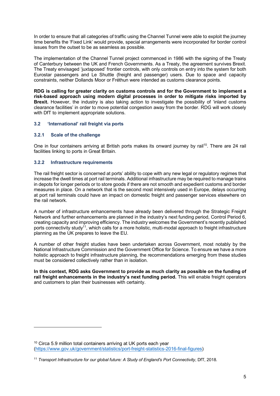In order to ensure that all categories of traffic using the Channel Tunnel were able to exploit the journey time benefits the 'Fixed Link' would provide, special arrangements were incorporated for border control issues from the outset to be as seamless as possible.

The implementation of the Channel Tunnel project commenced in 1986 with the signing of the Treaty of Canterbury between the UK and French Governments. As a Treaty, the agreement survives Brexit. The Treaty envisaged 'juxtaposed' frontier controls, with only controls on entry into the system for both Eurostar passengers and Le Shuttle (freight and passenger) users. Due to space and capacity constraints, neither Dollands Moor or Fréthun were intended as customs clearance points.

**RDG is calling for greater clarity on customs controls and for the Government to implement a risk-based approach using modern digital processes in order to mitigate risks imported by Brexit.** However, the industry is also taking action to investigate the possibility of 'inland customs clearance facilities' in order to move potential congestion away from the border. RDG will work closely with DfT to implement appropriate solutions.

# **3.2 'International' rail freight via ports**

# **3.2.1 Scale of the challenge**

l

One in four containers arriving at British ports makes its onward journey by rail<sup>10</sup>. There are 24 rail facilities linking to ports in Great Britain.

# **3.2.2 Infrastructure requirements**

The rail freight sector is concerned at ports' ability to cope with any new legal or regulatory regimes that increase the dwell times at port rail terminals. Additional infrastructure may be required to manage trains in depots for longer periods or to store goods if there are not smooth and expedient customs and border measures in place. On a network that is the second most intensively used in Europe, delays occurring at port rail terminals could have an impact on domestic freight and passenger services elsewhere on the rail network.

A number of infrastructure enhancements have already been delivered through the Strategic Freight Network and further enhancements are planned in the industry's next funding period, Control Period 6, creating capacity and improving efficiency. The industry welcomes the Government's recently published ports connectivity study<sup>11</sup>, which calls for a more holistic, multi-modal approach to freight infrastructure planning as the UK prepares to leave the EU.

A number of other freight studies have been undertaken across Government, most notably by the National Infrastructure Commission and the Government Office for Science. To ensure we have a more holistic approach to freight infrastructure planning, the recommendations emerging from these studies must be considered collectively rather than in isolation.

**In this context, RDG asks Government to provide as much clarity as possible on the funding of rail freight enhancements in the industry's next funding period.** This will enable freight operators and customers to plan their businesses with certainty.

 $10$  Circa 5.9 million total containers arriving at UK ports each year (https://www.gov.uk/government/statistics/port-freight-statistics-2016-final-figures)

<sup>&</sup>lt;sup>11</sup> Transport Infrastructure for our global future: A Study of England's Port Connectivity, DfT, 2018.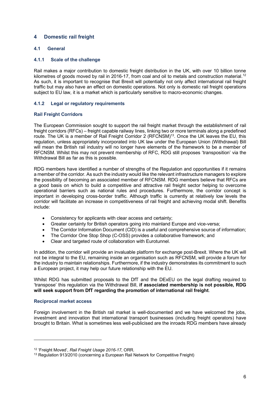# **4 Domestic rail freight**

# **4.1 General**

#### **4.1.1 Scale of the challenge**

Rail makes a major contribution to domestic freight distribution in the UK, with over 10 billion tonne kilometres of goods moved by rail in 2016-17, from coal and oil to metals and construction material.<sup>12</sup> As such, it is important to recognise that Brexit will potentially not only affect international rail freight traffic but may also have an effect on domestic operations. Not only is domestic rail freight operations subject to EU law, it is a market which is particularly sensitive to macro-economic changes.

#### **4.1.2 Legal or regulatory requirements**

#### **Rail Freight Corridors**

The European Commission sought to support the rail freight market through the establishment of rail freight corridors (RFCs) – freight capable railway lines, linking two or more terminals along a predefined route. The UK is a member of Rail Freight Corridor 2 (RFCNSM)<sup>13</sup>. Once the UK leaves the EU, this regulation, unless appropriately incorporated into UK law under the European Union (Withdrawal) Bill will mean the British rail industry will no longer have elements of the framework to be a member of RFCNSM. Whilst this may not prevent membership of RFC, RDG still proposes 'transposition' via the Withdrawal Bill as far as this is possible.

RDG members have identified a number of strengths of the Regulation and opportunities if it remains a member of the corridor. As such the industry would like the relevant infrastructure managers to explore the possibility of becoming an associated member of RFCNSM. RDG members believe that RFCs are a good basis on which to build a competitive and attractive rail freight sector helping to overcome operational barriers such as national rules and procedures. Furthermore, the corridor concept is important in developing cross-border traffic. Although traffic is currently at relatively low levels the corridor will facilitate an increase in competitiveness of rail freight and achieving modal shift. Benefits include:

- Consistency for applicants with clear access and certainty;
- Greater certainty for British operators going into mainland Europe and vice-versa;
- The Corridor Information Document (CID) is a useful and comprehensive source of information:
- The Corridor One Stop Shop (C-OSS) provides a collaborative framework; and
- Clear and targeted route of collaboration with Eurotunnel.

In addition, the corridor will provide an invaluable platform for exchange post-Brexit. Where the UK will not be integral to the EU, remaining inside an organisation such as RFCNSM, will provide a forum for the industry to maintain relationships. Furthermore, if the industry demonstrates its commitment to such a European project, it may help our future relationship with the EU.

Whilst RDG has submitted proposals to the DfT and the DExEU on the legal drafting required to 'transpose' this regulation via the Withdrawal Bill, **if associated membership is not possible, RDG will seek support from DfT regarding the promotion of international rail freight**.

#### **Reciprocal market access**

l

Foreign involvement in the British rail market is well-documented and we have welcomed the jobs, investment and innovation that international transport businesses (including freight operators) have brought to Britain. What is sometimes less well-publicised are the inroads RDG members have already

<sup>12</sup> 'Freight Moved', *Rail Freight Usage 2016-17*, ORR.

<sup>13</sup> Regulation 913/2010 (concerning a European Rail Network for Competitive Freight)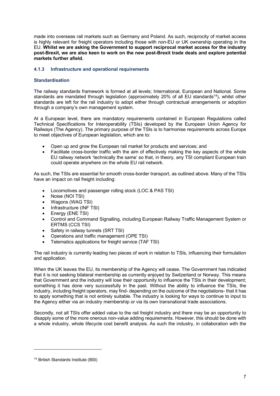made into overseas rail markets such as Germany and Poland. As such, reciprocity of market access is highly relevant for freight operators including those with non-EU or UK ownership operating in the EU. **Whilst we are asking the Government to support reciprocal market access for the industry post-Brexit, we are also keen to work on the new post-Brexit trade deals and explore potential markets further afield.**

# **4.1.3 Infrastructure and operational requirements**

# **Standardisation**

The railway standards framework is formed at all levels; International, European and National. Some standards are mandated through legislation (approximately 20% of all EU standards<sup>14</sup>), whilst other standards are left for the rail industry to adopt either through contractual arrangements or adoption through a company's own management system.

At a European level, there are mandatory requirements contained in European Regulations called Technical Specifications for Interoperability (TSIs) developed by the European Union Agency for Railways (The Agency). The primary purpose of the TSIs is to harmonise requirements across Europe to meet objectives of European legislation, which are to:

- Open up and grow the European rail market for products and services; and
- Facilitate cross-border traffic with the aim of effectively making the key aspects of the whole EU railway network 'technically the same' so that, in theory, any TSI compliant European train could operate anywhere on the whole EU rail network.

As such, the TSIs are essential for smooth cross-border transport, as outlined above. Many of the TSIs have an impact on rail freight including:

- Locomotives and passenger rolling stock (LOC & PAS TSI)
- Noise (NOI TSI)
- Wagons (WAG TSI)
- Infrastructure (INF TSI)
- Energy (ENE TSI)
- Control and Command Signalling, including European Railway Traffic Management System or ERTMS (CCS TSI)
- Safety in railway tunnels (SRT TSI)
- Operations and traffic management (OPE TSI)
- Telematics applications for freight service (TAF TSI)

The rail industry is currently leading two pieces of work in relation to TSIs, influencing their formulation and application.

When the UK leaves the EU, its membership of the Agency will cease. The Government has indicated that it is not seeking bilateral membership as currently enjoyed by Switzerland or Norway. This means that Government and the industry will lose their opportunity to influence the TSIs in their development; something it has done very successfully in the past. Without the ability to influence the TSIs, the industry, including freight operators, may find- depending on the outcome of the negotiations- that it has to apply something that is not entirely suitable. The industry is looking for ways to continue to input to the Agency either via an industry membership or via its own transnational trade associations.

Secondly, not all TSIs offer added value to the rail freight industry and there may be an opportunity to disapply some of the more onerous non-value adding requirements. However, this should be done with a whole industry, whole lifecycle cost benefit analysis. As such the industry, in collaboration with the

l

<sup>14</sup> British Standards Institute (BSI)